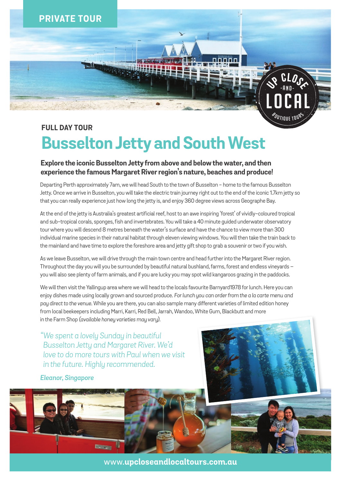

# **FULL DAY TOUR Busselton Jetty and South West**

### **Explore the iconic Busselton Jetty from above and below the water, and then experience the famous Margaret River region's nature, beaches and produce!**

Departing Perth approximately 7am, we will head South to the town of Busselton - home to the famous Busselton Jetty. Once we arrive in Busselton, you will take the electric train journey right out to the end of the iconic 1.7km jetty so that you can really experience just how long the jetty is, and enjoy 360 degree views across Geographe Bay.

At the end of the jetty is Australia's greatest artificial reef, host to an awe inspiring 'forest' of vividly-coloured tropical and sub-tropical corals, sponges, fish and invertebrates. You will take a 40 minute guided underwater observatory tour where you will descend 8 metres beneath the water's surface and have the chance to view more than 300 individual marine species in their natural habitat through eleven viewing windows. You will then take the train back to the mainland and have time to explore the foreshore area and jetty gift shop to grab a souvenir or two if you wish.

As we leave Busselton, we will drive through the main town centre and head further into the Margaret River region. Throughout the day you will you be surrounded by beautiful natural bushland, farms, forest and endless vineyards – you will also see plenty of farm animals, and if you are lucky you may spot wild kangaroos grazing in the paddocks.

We will then visit the Yallingup area where we will head to the locals favourite Barnyard1978 for lunch. Here you can enjoy dishes made using locally grown and sourced produce. *For lunch you can order from the a la carte menu and pay direct to the venue.* While you are there, you can also sample many different varieties of limited edition honey from local beekeepers including Marri, Karri, Red Bell, Jarrah, Wandoo, White Gum, Blackbutt and more in the Farm Shop *(available honey varieties may vary).*

*"We spent a lovely Sunday in beautiful Busselton Jetty and Margaret River. We'd love to do more tours with Paul when we visit in the future. Highly recommended.*

Po.

#### *Eleanor, Singapore*



www.**upcloseandlocaltours.com.au**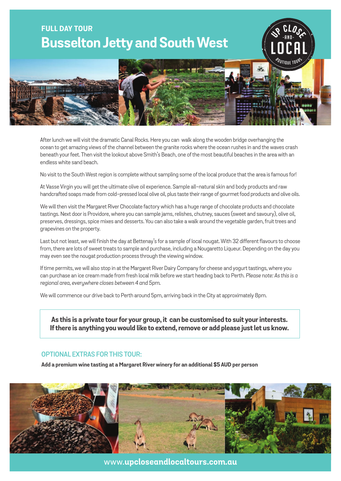## **FULL DAY TOUR Busselton Jetty and South West**



-A N D -

**US** CLOSS

After lunch we will visit the dramatic Canal Rocks. Here you can walk along the wooden bridge overhanging the ocean to get amazing views of the channel between the granite rocks where the ocean rushes in and the waves crash beneath your feet. Then visit the lookout above Smith's Beach, one of the most beautiful beaches in the area with an endless white sand beach.

No visit to the South West region is complete without sampling some of the local produce that the area is famous for!

At Vasse Virgin you will get the ultimate olive oil experience. Sample all-natural skin and body products and raw handcrafted soaps made from cold-pressed local olive oil, plus taste their range of gourmet food products and olive oils.

We will then visit the Margaret River Chocolate factory which has a huge range of chocolate products and chocolate tastings. Next door is Providore, where you can sample jams, relishes, chutney, sauces (sweet and savoury), olive oil, preserves, dressings, spice mixes and desserts. You can also take a walk around the vegetable garden, fruit trees and grapevines on the property.

Last but not least, we will finish the day at Bettenay's for a sample of local nougat. With 32 different flavours to choose from, there are lots of sweet treats to sample and purchase, including a Nougaretto Liqueur. Depending on the day you may even see the nougat production process through the viewing window.

If time permits, we will also stop in at the Margaret River Dairy Company for cheese and yogurt tastings, where you can purchase an ice cream made from fresh local milk before we start heading back to Perth. *Please note: As this is a regional area, everywhere closes between 4 and 5pm.*

We will commence our drive back to Perth around 5pm, arriving back in the City at approximately 8pm.

**As this is a private tour for your group, it can be customised to suit your interests. If there is anything you would like to extend, remove or add please just let us know.**

### **optional extras for this tour:**

**Add a premium wine tasting at a Margaret River winery for an additional \$5 AUD per person**



www.**upcloseandlocaltours.com.au**